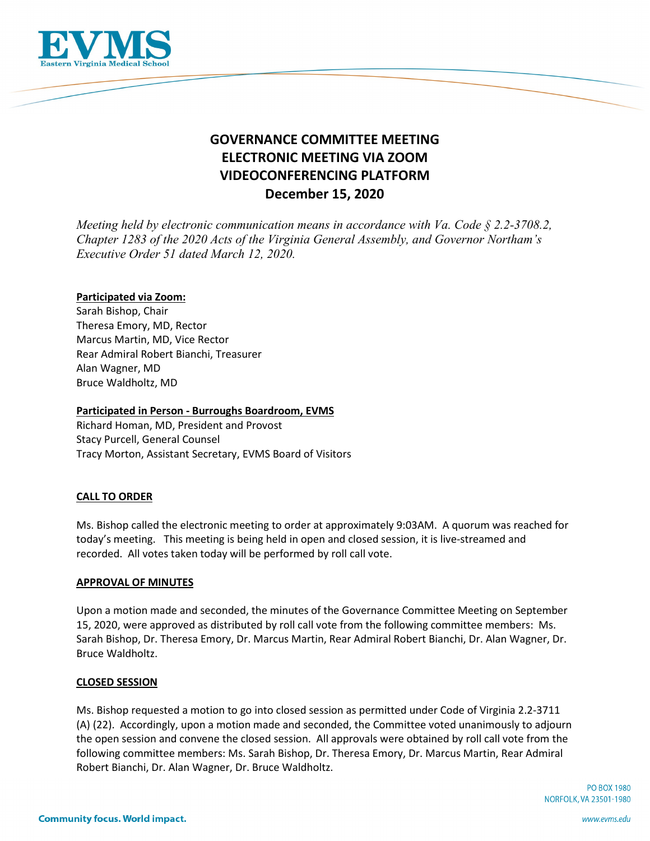

# **GOVERNANCE COMMITTEE MEETING ELECTRONIC MEETING VIA ZOOM VIDEOCONFERENCING PLATFORM December 15, 2020**

*Meeting held by electronic communication means in accordance with Va. Code § 2.2-3708.2, Chapter 1283 of the 2020 Acts of the Virginia General Assembly, and Governor Northam's Executive Order 51 dated March 12, 2020.*

# **Participated via Zoom:**

Sarah Bishop, Chair Theresa Emory, MD, Rector Marcus Martin, MD, Vice Rector Rear Admiral Robert Bianchi, Treasurer Alan Wagner, MD Bruce Waldholtz, MD

# **Participated in Person - Burroughs Boardroom, EVMS**

Richard Homan, MD, President and Provost Stacy Purcell, General Counsel Tracy Morton, Assistant Secretary, EVMS Board of Visitors

# **CALL TO ORDER**

Ms. Bishop called the electronic meeting to order at approximately 9:03AM. A quorum was reached for today's meeting. This meeting is being held in open and closed session, it is live-streamed and recorded. All votes taken today will be performed by roll call vote.

## **APPROVAL OF MINUTES**

Upon a motion made and seconded, the minutes of the Governance Committee Meeting on September 15, 2020, were approved as distributed by roll call vote from the following committee members: Ms. Sarah Bishop, Dr. Theresa Emory, Dr. Marcus Martin, Rear Admiral Robert Bianchi, Dr. Alan Wagner, Dr. Bruce Waldholtz.

## **CLOSED SESSION**

Ms. Bishop requested a motion to go into closed session as permitted under Code of Virginia 2.2-3711 (A) (22). Accordingly, upon a motion made and seconded, the Committee voted unanimously to adjourn the open session and convene the closed session. All approvals were obtained by roll call vote from the following committee members: Ms. Sarah Bishop, Dr. Theresa Emory, Dr. Marcus Martin, Rear Admiral Robert Bianchi, Dr. Alan Wagner, Dr. Bruce Waldholtz.

> **PO BOX 1980** NORFOLK, VA 23501-1980